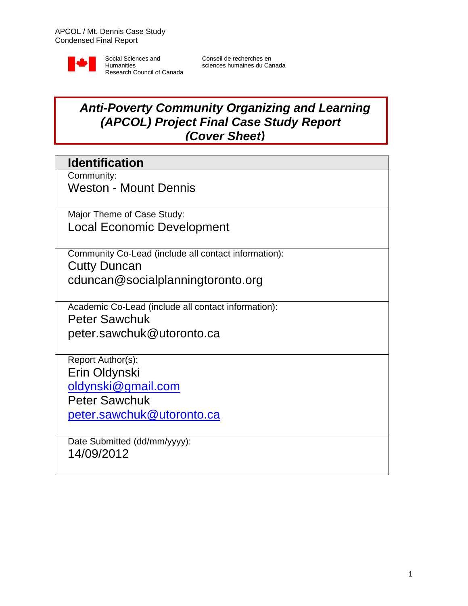

Conseil de recherches en sciences humaines du Canada

# *Anti-Poverty Community Organizing and Learning (APCOL) Project Final Case Study Report (Cover Sheet)*

## **Identification**

Community:

Weston - Mount Dennis

Major Theme of Case Study: Local Economic Development

Community Co-Lead (include all contact information): Cutty Duncan cduncan@socialplanningtoronto.org

Academic Co-Lead (include all contact information): Peter Sawchuk peter.sawchuk@utoronto.ca

Report Author(s): Erin Oldynski [oldynski@gmail.com](mailto:oldynski@gmail.com)

Peter Sawchuk

[peter.sawchuk@utoronto.ca](mailto:peter.sawchuk@utoronto.ca)

Date Submitted (dd/mm/yyyy): 14/09/2012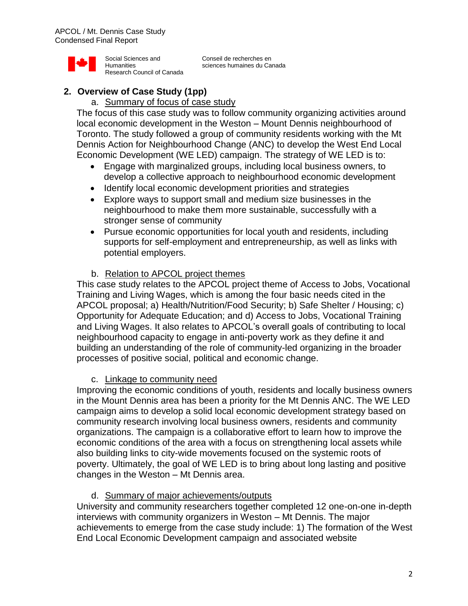

Conseil de recherches en sciences humaines du Canada

## **2. Overview of Case Study (1pp)**

#### a. Summary of focus of case study

The focus of this case study was to follow community organizing activities around local economic development in the Weston – Mount Dennis neighbourhood of Toronto. The study followed a group of community residents working with the Mt Dennis Action for Neighbourhood Change (ANC) to develop the West End Local Economic Development (WE LED) campaign. The strategy of WE LED is to:

- Engage with marginalized groups, including local business owners, to develop a collective approach to neighbourhood economic development
- Identify local economic development priorities and strategies
- Explore ways to support small and medium size businesses in the neighbourhood to make them more sustainable, successfully with a stronger sense of community
- Pursue economic opportunities for local youth and residents, including supports for self-employment and entrepreneurship, as well as links with potential employers.
- b. Relation to APCOL project themes

This case study relates to the APCOL project theme of Access to Jobs, Vocational Training and Living Wages, which is among the four basic needs cited in the APCOL proposal; a) Health/Nutrition/Food Security; b) Safe Shelter / Housing; c) Opportunity for Adequate Education; and d) Access to Jobs, Vocational Training and Living Wages. It also relates to APCOL's overall goals of contributing to local neighbourhood capacity to engage in anti-poverty work as they define it and building an understanding of the role of community-led organizing in the broader processes of positive social, political and economic change.

#### c. Linkage to community need

Improving the economic conditions of youth, residents and locally business owners in the Mount Dennis area has been a priority for the Mt Dennis ANC. The WE LED campaign aims to develop a solid local economic development strategy based on community research involving local business owners, residents and community organizations. The campaign is a collaborative effort to learn how to improve the economic conditions of the area with a focus on strengthening local assets while also building links to city-wide movements focused on the systemic roots of poverty. Ultimately, the goal of WE LED is to bring about long lasting and positive changes in the Weston – Mt Dennis area.

d. Summary of major achievements/outputs

University and community researchers together completed 12 one-on-one in-depth interviews with community organizers in Weston – Mt Dennis. The major achievements to emerge from the case study include: 1) The formation of the West End Local Economic Development campaign and associated website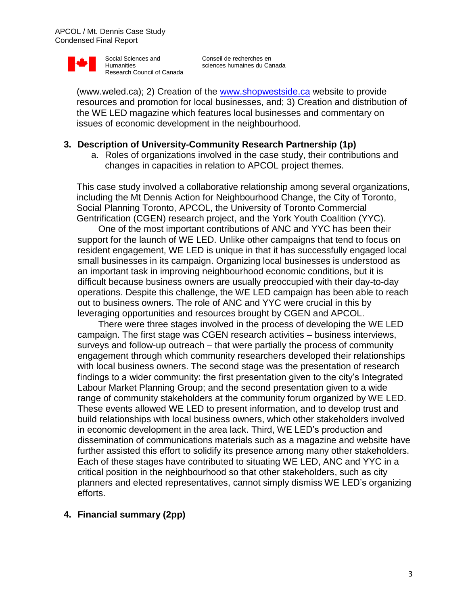

(www.weled.ca); 2) Creation of the [www.shopwestside.ca](http://www.weled.ca)www.shopwestside.ca/) website to provide resources and promotion for local businesses, and; 3) Creation and distribution of the WE LED magazine which features local businesses and commentary on issues of economic development in the neighbourhood.

#### **3. Description of University-Community Research Partnership (1p)**

a. Roles of organizations involved in the case study, their contributions and changes in capacities in relation to APCOL project themes.

This case study involved a collaborative relationship among several organizations, including the Mt Dennis Action for Neighbourhood Change, the City of Toronto, Social Planning Toronto, APCOL, the University of Toronto Commercial Gentrification (CGEN) research project, and the York Youth Coalition (YYC).

One of the most important contributions of ANC and YYC has been their support for the launch of WE LED. Unlike other campaigns that tend to focus on resident engagement, WE LED is unique in that it has successfully engaged local small businesses in its campaign. Organizing local businesses is understood as an important task in improving neighbourhood economic conditions, but it is difficult because business owners are usually preoccupied with their day-to-day operations. Despite this challenge, the WE LED campaign has been able to reach out to business owners. The role of ANC and YYC were crucial in this by leveraging opportunities and resources brought by CGEN and APCOL.

There were three stages involved in the process of developing the WE LED campaign. The first stage was CGEN research activities – business interviews, surveys and follow-up outreach – that were partially the process of community engagement through which community researchers developed their relationships with local business owners. The second stage was the presentation of research findings to a wider community: the first presentation given to the city's Integrated Labour Market Planning Group; and the second presentation given to a wide range of community stakeholders at the community forum organized by WE LED. These events allowed WE LED to present information, and to develop trust and build relationships with local business owners, which other stakeholders involved in economic development in the area lack. Third, WE LED's production and dissemination of communications materials such as a magazine and website have further assisted this effort to solidify its presence among many other stakeholders. Each of these stages have contributed to situating WE LED, ANC and YYC in a critical position in the neighbourhood so that other stakeholders, such as city planners and elected representatives, cannot simply dismiss WE LED's organizing efforts.

#### **4. Financial summary (2pp)**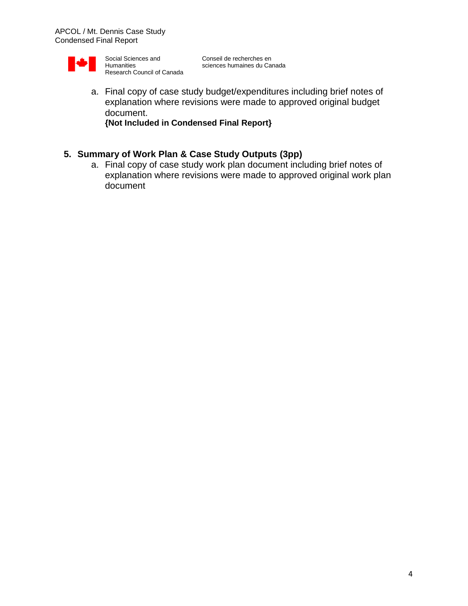

a. Final copy of case study budget/expenditures including brief notes of explanation where revisions were made to approved original budget document. **{Not Included in Condensed Final Report}**

# **5. Summary of Work Plan & Case Study Outputs (3pp)**

a. Final copy of case study work plan document including brief notes of explanation where revisions were made to approved original work plan document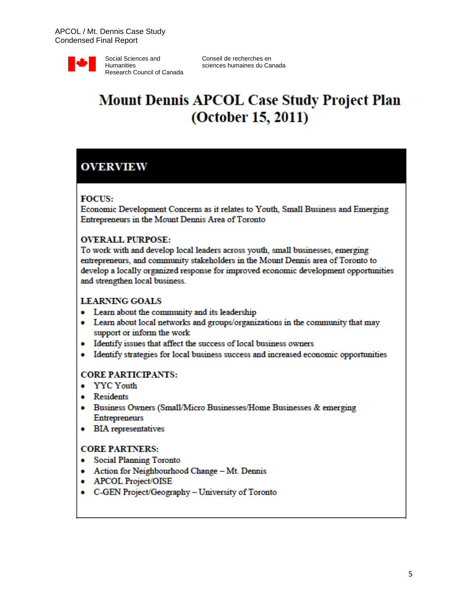

# **Mount Dennis APCOL Case Study Project Plan** (October 15, 2011)

## **OVERVIEW**

#### **FOCUS:**

Economic Development Concerns as it relates to Youth, Small Business and Emerging Entrepreneurs in the Mount Dennis Area of Toronto

#### **OVERALL PURPOSE:**

To work with and develop local leaders across youth, small businesses, emerging entrepreneurs, and community stakeholders in the Mount Dennis area of Toronto to develop a locally organized response for improved economic development opportunities and strengthen local business.

#### **LEARNING GOALS**

- Learn about the community and its leadership
- Learn about local networks and groups/organizations in the community that may support or inform the work
- Identify issues that affect the success of local business owners
- Identify strategies for local business success and increased economic opportunities

#### **CORE PARTICIPANTS:**

- YYC Youth
- Residents
- Business Owners (Small/Micro Businesses/Home Businesses & emerging **Entrepreneurs**
- BIA representatives

#### **CORE PARTNERS:**

- Social Planning Toronto
- Action for Neighbourhood Change Mt. Dennis
- APCOL Project/OISE
- C-GEN Project/Geography University of Toronto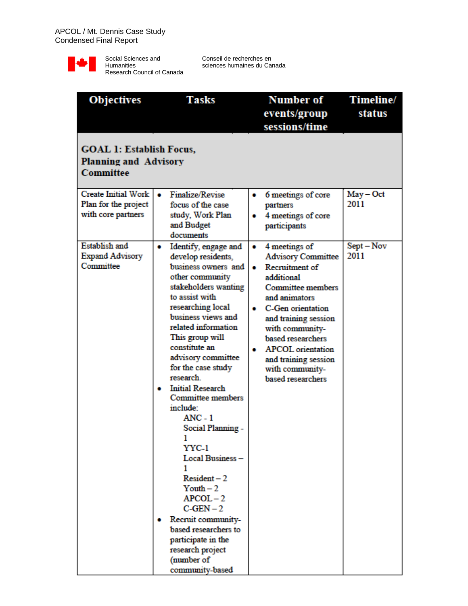

| <b>Objectives</b>                                                            | <b>Tasks</b>                                                                                                                                                                                                                                                                                                                                                                                                                                                                                                                                                                                                                            | <b>Number of</b>                                                                                                                                                                                                                                                                                                        | Timeline/           |  |  |  |
|------------------------------------------------------------------------------|-----------------------------------------------------------------------------------------------------------------------------------------------------------------------------------------------------------------------------------------------------------------------------------------------------------------------------------------------------------------------------------------------------------------------------------------------------------------------------------------------------------------------------------------------------------------------------------------------------------------------------------------|-------------------------------------------------------------------------------------------------------------------------------------------------------------------------------------------------------------------------------------------------------------------------------------------------------------------------|---------------------|--|--|--|
|                                                                              |                                                                                                                                                                                                                                                                                                                                                                                                                                                                                                                                                                                                                                         | events/group                                                                                                                                                                                                                                                                                                            | status              |  |  |  |
|                                                                              |                                                                                                                                                                                                                                                                                                                                                                                                                                                                                                                                                                                                                                         | sessions/time                                                                                                                                                                                                                                                                                                           |                     |  |  |  |
| <b>GOAL 1: Establish Focus,</b><br><b>Planning and Advisory</b><br>Committee |                                                                                                                                                                                                                                                                                                                                                                                                                                                                                                                                                                                                                                         |                                                                                                                                                                                                                                                                                                                         |                     |  |  |  |
| Create Initial Work<br>Plan for the project                                  | Finalize/Revise<br>٠<br>focus of the case                                                                                                                                                                                                                                                                                                                                                                                                                                                                                                                                                                                               | 6 meetings of core                                                                                                                                                                                                                                                                                                      | $May - Oct$<br>2011 |  |  |  |
| with core partners                                                           | study, Work Plan<br>and Budget<br>documents                                                                                                                                                                                                                                                                                                                                                                                                                                                                                                                                                                                             | partners<br>4 meetings of core<br>۰<br>participants                                                                                                                                                                                                                                                                     |                     |  |  |  |
| <b>Establish and</b><br><b>Expand Advisory</b><br>Committee                  | Identify, engage and<br>$\bullet$<br>develop residents,<br>business owners and<br>other community<br>stakeholders wanting<br>to assist with<br>researching local<br>business views and<br>related information<br>This group will<br>constitute an<br>advisory committee<br>for the case study<br>research<br><b>Initial Research</b><br>۰<br><b>Committee members</b><br>include:<br>$ANC - 1$<br>Social Planning -<br>YYC-1<br>Local Business-<br>$Resident-2$<br>$Y$ outh $-2$<br>$APCOL - 2$<br>$C-GEN-2$<br>• Recruit community-<br>based researchers to<br>participate in the<br>research project<br>(number of<br>community-based | 4 meetings of<br>۰<br><b>Advisory Committee</b><br>Recruitment of<br>۰<br>additional<br><b>Committee members</b><br>and animators<br>C-Gen orientation<br>and training session<br>with community-<br>based researchers<br><b>APCOL</b> orientation<br>۰<br>and training session<br>with community-<br>based researchers | Sept-Nov<br>2011    |  |  |  |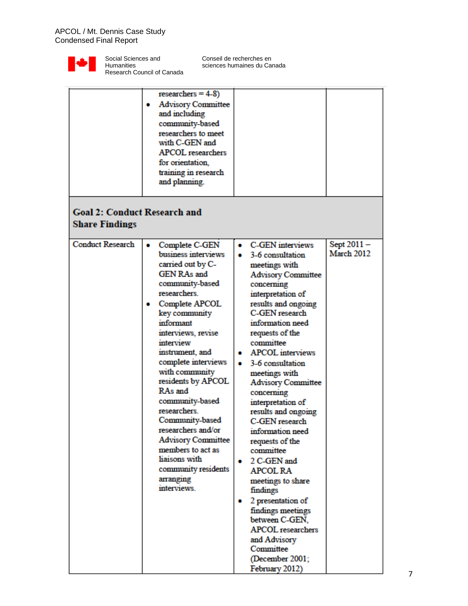

|                                                              | $researchers = 4-8$<br><b>Advisory Committee</b><br>and including<br>community-based<br>researchers to meet<br>with C-GEN and<br><b>APCOL</b> researchers<br>for orientation.<br>training in research<br>and planning.                                                                                                                                                                                                                                                                                     |                                                                                                                                                                                                                                                                                                                                                                                                                                                                                                                                                                                                                                                                                             |                          |  |  |  |
|--------------------------------------------------------------|------------------------------------------------------------------------------------------------------------------------------------------------------------------------------------------------------------------------------------------------------------------------------------------------------------------------------------------------------------------------------------------------------------------------------------------------------------------------------------------------------------|---------------------------------------------------------------------------------------------------------------------------------------------------------------------------------------------------------------------------------------------------------------------------------------------------------------------------------------------------------------------------------------------------------------------------------------------------------------------------------------------------------------------------------------------------------------------------------------------------------------------------------------------------------------------------------------------|--------------------------|--|--|--|
| <b>Goal 2: Conduct Research and</b><br><b>Share Findings</b> |                                                                                                                                                                                                                                                                                                                                                                                                                                                                                                            |                                                                                                                                                                                                                                                                                                                                                                                                                                                                                                                                                                                                                                                                                             |                          |  |  |  |
| <b>Conduct Research</b>                                      | Complete C-GEN<br>۰<br>business interviews<br>carried out by C-<br><b>GEN RAs and</b><br>community-based<br>researchers.<br>Complete APCOL<br>key community<br>informant<br>interviews, revise<br>interview<br>instrument, and<br>complete interviews<br>with community<br>residents by APCOL<br>RAs and<br>community-based<br>researchers.<br>Community-based<br>researchers and/or<br><b>Advisory Committee</b><br>members to act as<br>liaisons with<br>community residents<br>arranging<br>interviews. | C-GEN interviews<br>۰<br>3-6 consultation<br>۰<br>meetings with<br><b>Advisory Committee</b><br>concerning<br>interpretation of<br>results and ongoing<br>C-GEN research<br>information need<br>requests of the<br>committee<br><b>APCOL</b> interviews<br>3-6 consultation<br>۰<br>meetings with<br><b>Advisory Committee</b><br>concerning<br>interpretation of<br>results and ongoing<br>C-GEN research<br>information need<br>requests of the<br>committee<br>2 C-GEN and<br><b>APCOL RA</b><br>meetings to share<br>findings<br>2 presentation of<br>findings meetings<br>between C-GEN.<br><b>APCOL</b> researchers<br>and Advisory<br>Committee<br>(December 2001;<br>February 2012) | Sept 2011-<br>March 2012 |  |  |  |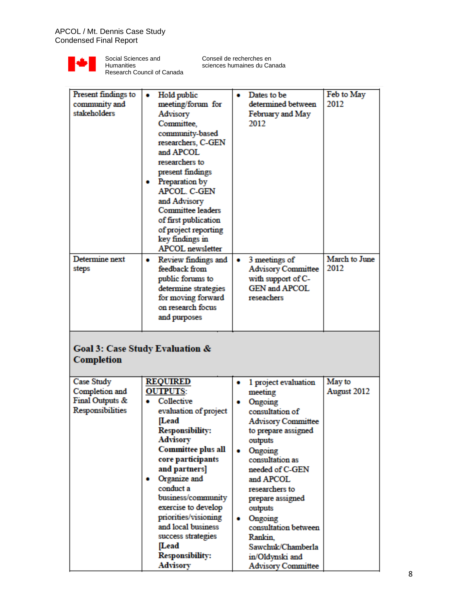

l,

Social Sciences and Humanities Research Council of Canada

| Present findings to<br>community and<br>stakeholders                | Hold public<br>۰<br>meeting/forum for<br>Advisory<br>Committee,<br>community-based<br>researchers, C-GEN<br>and APCOL<br>researchers to<br>present findings<br>Preparation by<br>۰<br>APCOL. C-GEN<br>and Advisory<br><b>Committee leaders</b><br>of first publication                                                                                                                               | Dates to be<br>٠<br>determined between<br>February and May<br>2012                                                                                                                                                                                                                                                                                                       | Feb to May<br>2012    |  |  |  |
|---------------------------------------------------------------------|------------------------------------------------------------------------------------------------------------------------------------------------------------------------------------------------------------------------------------------------------------------------------------------------------------------------------------------------------------------------------------------------------|--------------------------------------------------------------------------------------------------------------------------------------------------------------------------------------------------------------------------------------------------------------------------------------------------------------------------------------------------------------------------|-----------------------|--|--|--|
| Determine next<br>steps                                             | of project reporting<br>key findings in<br><b>APCOL</b> newsletter<br>Review findings and<br>۰<br>feedback from<br>public forums to<br>determine strategies<br>for moving forward<br>on research focus<br>and purposes                                                                                                                                                                               | 3 meetings of<br>۰<br><b>Advisory Committee</b><br>with support of C-<br><b>GEN and APCOL</b><br>reseachers                                                                                                                                                                                                                                                              | March to June<br>2012 |  |  |  |
| Goal 3: Case Study Evaluation &<br><b>Completion</b>                |                                                                                                                                                                                                                                                                                                                                                                                                      |                                                                                                                                                                                                                                                                                                                                                                          |                       |  |  |  |
| Case Study<br>Completion and<br>Final Outputs &<br>Responsibilities | <b>REQUIRED</b><br><b>OUTPUTS:</b><br>Collective<br>evaluation of project<br>[Lead<br><b>Responsibility:</b><br><b>Advisory</b><br><b>Committee plus all</b><br>core participants<br>and partners]<br>Organize and<br>۰<br>conduct a<br>business/community<br>exercise to develop<br>priorities/visioning<br>and local business<br>success strategies<br>[Lead<br><b>Responsibility:</b><br>Advisory | 1 project evaluation<br>۰<br>meeting<br>Ongoing<br>consultation of<br><b>Advisory Committee</b><br>to prepare assigned<br>outputs<br>Ongoing<br>consultation as<br>needed of C-GEN<br>and APCOL<br>researchers to<br>prepare assigned<br>outputs<br>Ongoing<br>٠<br>consultation between<br>Rankin.<br>Sawchuk/Chamberla<br>in/Oldynski and<br><b>Advisory Committee</b> | May to<br>August 2012 |  |  |  |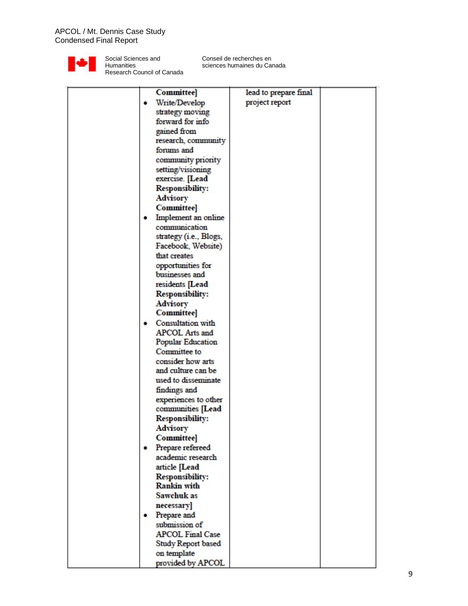

|  | <b>Committee</b>        | lead to prepare final |  |
|--|-------------------------|-----------------------|--|
|  | Write/Develop           | project report        |  |
|  | strategy moving         |                       |  |
|  | forward for info        |                       |  |
|  | gained from             |                       |  |
|  | research, community     |                       |  |
|  | forums and              |                       |  |
|  |                         |                       |  |
|  | community priority      |                       |  |
|  | setting/visioning       |                       |  |
|  | exercise. [Lead         |                       |  |
|  | <b>Responsibility:</b>  |                       |  |
|  | <b>Advisory</b>         |                       |  |
|  | <b>Committee]</b>       |                       |  |
|  | Implement an online     |                       |  |
|  | communication           |                       |  |
|  | strategy (i.e., Blogs,  |                       |  |
|  | Facebook, Website)      |                       |  |
|  | that creates            |                       |  |
|  | opportunities for       |                       |  |
|  | businesses and          |                       |  |
|  | residents [Lead         |                       |  |
|  | <b>Responsibility:</b>  |                       |  |
|  | <b>Advisory</b>         |                       |  |
|  | <b>Committee</b>        |                       |  |
|  | Consultation with       |                       |  |
|  | <b>APCOL Arts and</b>   |                       |  |
|  | Popular Education       |                       |  |
|  | Committee to            |                       |  |
|  | consider how arts       |                       |  |
|  | and culture can be      |                       |  |
|  | used to disseminate     |                       |  |
|  |                         |                       |  |
|  | findings and            |                       |  |
|  | experiences to other    |                       |  |
|  | communities [Lead       |                       |  |
|  | <b>Responsibility:</b>  |                       |  |
|  | Advisory                |                       |  |
|  | <b>Committee]</b>       |                       |  |
|  | Prepare refereed        |                       |  |
|  | academic research       |                       |  |
|  | article [Lead           |                       |  |
|  | <b>Responsibility:</b>  |                       |  |
|  | <b>Rankin with</b>      |                       |  |
|  | Sawchuk as              |                       |  |
|  | necessary]              |                       |  |
|  | Prepare and             |                       |  |
|  | submission of           |                       |  |
|  | <b>APCOL Final Case</b> |                       |  |
|  | Study Report based      |                       |  |
|  | on template             |                       |  |
|  | provided by APCOL       |                       |  |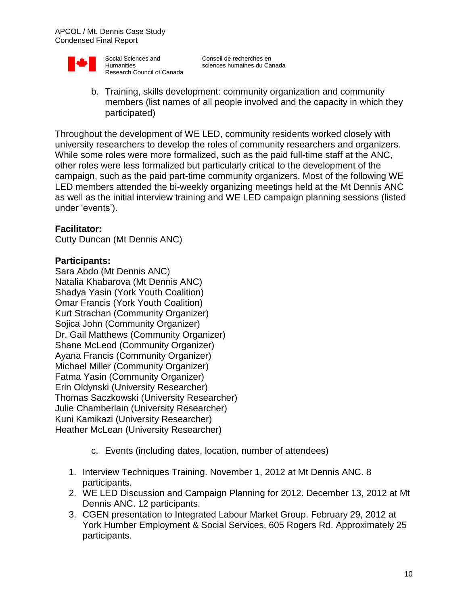

b. Training, skills development: community organization and community members (list names of all people involved and the capacity in which they participated)

Throughout the development of WE LED, community residents worked closely with university researchers to develop the roles of community researchers and organizers. While some roles were more formalized, such as the paid full-time staff at the ANC, other roles were less formalized but particularly critical to the development of the campaign, such as the paid part-time community organizers. Most of the following WE LED members attended the bi-weekly organizing meetings held at the Mt Dennis ANC as well as the initial interview training and WE LED campaign planning sessions (listed under 'events').

#### **Facilitator:**

Cutty Duncan (Mt Dennis ANC)

#### **Participants:**

Sara Abdo (Mt Dennis ANC) Natalia Khabarova (Mt Dennis ANC) Shadya Yasin (York Youth Coalition) Omar Francis (York Youth Coalition) Kurt Strachan (Community Organizer) Sojica John (Community Organizer) Dr. Gail Matthews (Community Organizer) Shane McLeod (Community Organizer) Ayana Francis (Community Organizer) Michael Miller (Community Organizer) Fatma Yasin (Community Organizer) Erin Oldynski (University Researcher) Thomas Saczkowski (University Researcher) Julie Chamberlain (University Researcher) Kuni Kamikazi (University Researcher) Heather McLean (University Researcher)

- c. Events (including dates, location, number of attendees)
- 1. Interview Techniques Training. November 1, 2012 at Mt Dennis ANC. 8 participants.
- 2. WE LED Discussion and Campaign Planning for 2012. December 13, 2012 at Mt Dennis ANC. 12 participants.
- 3. CGEN presentation to Integrated Labour Market Group. February 29, 2012 at York Humber Employment & Social Services, 605 Rogers Rd. Approximately 25 participants.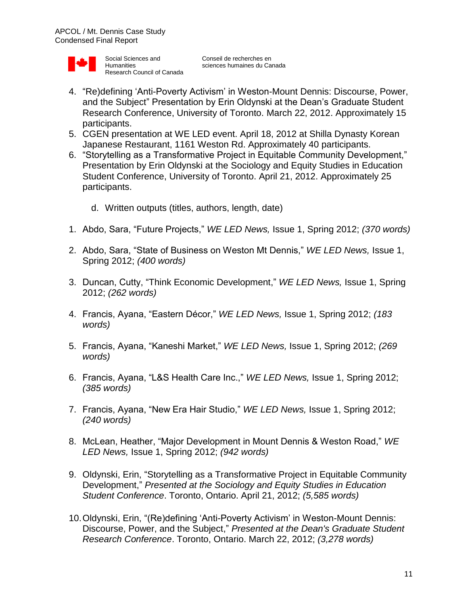

- 4. "Re)defining 'Anti-Poverty Activism' in Weston-Mount Dennis: Discourse, Power, and the Subject" Presentation by Erin Oldynski at the Dean's Graduate Student Research Conference, University of Toronto. March 22, 2012. Approximately 15 participants.
- 5. CGEN presentation at WE LED event. April 18, 2012 at Shilla Dynasty Korean Japanese Restaurant, 1161 Weston Rd. Approximately 40 participants.
- 6. "Storytelling as a Transformative Project in Equitable Community Development," Presentation by Erin Oldynski at the Sociology and Equity Studies in Education Student Conference, University of Toronto. April 21, 2012. Approximately 25 participants.
	- d. Written outputs (titles, authors, length, date)
- 1. Abdo, Sara, "Future Projects," *WE LED News,* Issue 1, Spring 2012; *(370 words)*
- 2. Abdo, Sara, "State of Business on Weston Mt Dennis," *WE LED News,* Issue 1, Spring 2012; *(400 words)*
- 3. Duncan, Cutty, "Think Economic Development," *WE LED News,* Issue 1, Spring 2012; *(262 words)*
- 4. Francis, Ayana, "Eastern Décor," *WE LED News,* Issue 1, Spring 2012; *(183 words)*
- 5. Francis, Ayana, "Kaneshi Market," *WE LED News,* Issue 1, Spring 2012; *(269 words)*
- 6. Francis, Ayana, "L&S Health Care Inc.," *WE LED News,* Issue 1, Spring 2012; *(385 words)*
- 7. Francis, Ayana, "New Era Hair Studio," *WE LED News,* Issue 1, Spring 2012; *(240 words)*
- 8. McLean, Heather, "Major Development in Mount Dennis & Weston Road," *WE LED News,* Issue 1, Spring 2012; *(942 words)*
- 9. Oldynski, Erin, "Storytelling as a Transformative Project in Equitable Community Development," *Presented at the Sociology and Equity Studies in Education Student Conference*. Toronto, Ontario. April 21, 2012; *(5,585 words)*
- 10.Oldynski, Erin, "(Re)defining 'Anti-Poverty Activism' in Weston-Mount Dennis: Discourse, Power, and the Subject," *Presented at the Dean's Graduate Student Research Conference*. Toronto, Ontario. March 22, 2012; *(3,278 words)*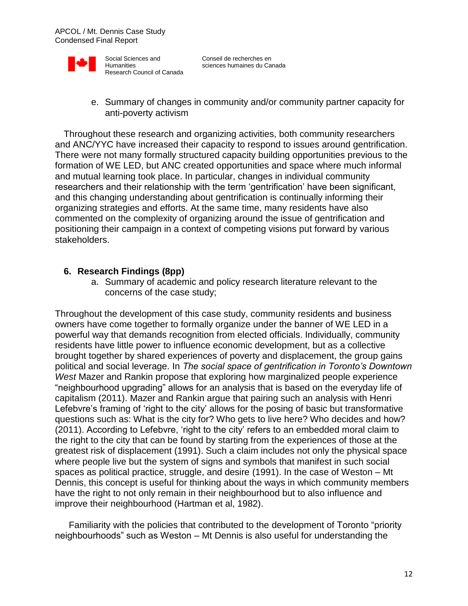

e. Summary of changes in community and/or community partner capacity for anti-poverty activism

Throughout these research and organizing activities, both community researchers and ANC/YYC have increased their capacity to respond to issues around gentrification. There were not many formally structured capacity building opportunities previous to the formation of WE LED, but ANC created opportunities and space where much informal and mutual learning took place. In particular, changes in individual community researchers and their relationship with the term 'gentrification' have been significant, and this changing understanding about gentrification is continually informing their organizing strategies and efforts. At the same time, many residents have also commented on the complexity of organizing around the issue of gentrification and positioning their campaign in a context of competing visions put forward by various stakeholders.

#### **6. Research Findings (8pp)**

a. Summary of academic and policy research literature relevant to the concerns of the case study;

Throughout the development of this case study, community residents and business owners have come together to formally organize under the banner of WE LED in a powerful way that demands recognition from elected officials. Individually, community residents have little power to influence economic development, but as a collective brought together by shared experiences of poverty and displacement, the group gains political and social leverage. In *The social space of gentrification in Toronto's Downtown West* Mazer and Rankin propose that exploring how marginalized people experience "neighbourhood upgrading" allows for an analysis that is based on the everyday life of capitalism (2011). Mazer and Rankin argue that pairing such an analysis with Henri Lefebvre's framing of 'right to the city' allows for the posing of basic but transformative questions such as: What is the city for? Who gets to live here? Who decides and how? (2011). According to Lefebvre, 'right to the city' refers to an embedded moral claim to the right to the city that can be found by starting from the experiences of those at the greatest risk of displacement (1991). Such a claim includes not only the physical space where people live but the system of signs and symbols that manifest in such social spaces as political practice, struggle, and desire (1991). In the case of Weston – Mt Dennis, this concept is useful for thinking about the ways in which community members have the right to not only remain in their neighbourhood but to also influence and improve their neighbourhood (Hartman et al, 1982).

Familiarity with the policies that contributed to the development of Toronto "priority neighbourhoods" such as Weston – Mt Dennis is also useful for understanding the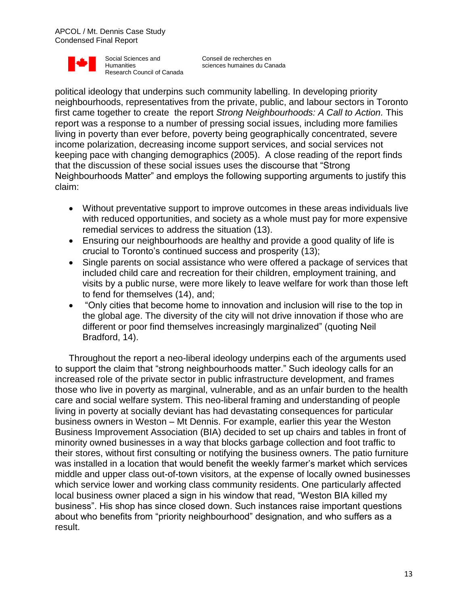

Conseil de recherches en sciences humaines du Canada

political ideology that underpins such community labelling. In developing priority neighbourhoods, representatives from the private, public, and labour sectors in Toronto first came together to create the report *Strong Neighbourhoods: A Call to Action.* This report was a response to a number of pressing social issues, including more families living in poverty than ever before, poverty being geographically concentrated, severe income polarization, decreasing income support services, and social services not keeping pace with changing demographics (2005). A close reading of the report finds that the discussion of these social issues uses the discourse that "Strong Neighbourhoods Matter" and employs the following supporting arguments to justify this claim:

- Without preventative support to improve outcomes in these areas individuals live with reduced opportunities, and society as a whole must pay for more expensive remedial services to address the situation (13).
- Ensuring our neighbourhoods are healthy and provide a good quality of life is crucial to Toronto's continued success and prosperity (13);
- Single parents on social assistance who were offered a package of services that included child care and recreation for their children, employment training, and visits by a public nurse, were more likely to leave welfare for work than those left to fend for themselves (14), and;
- "Only cities that become home to innovation and inclusion will rise to the top in the global age. The diversity of the city will not drive innovation if those who are different or poor find themselves increasingly marginalized" (quoting Neil Bradford, 14).

Throughout the report a neo-liberal ideology underpins each of the arguments used to support the claim that "strong neighbourhoods matter." Such ideology calls for an increased role of the private sector in public infrastructure development, and frames those who live in poverty as marginal, vulnerable, and as an unfair burden to the health care and social welfare system. This neo-liberal framing and understanding of people living in poverty at socially deviant has had devastating consequences for particular business owners in Weston – Mt Dennis. For example, earlier this year the Weston Business Improvement Association (BIA) decided to set up chairs and tables in front of minority owned businesses in a way that blocks garbage collection and foot traffic to their stores, without first consulting or notifying the business owners. The patio furniture was installed in a location that would benefit the weekly farmer's market which services middle and upper class out-of-town visitors, at the expense of locally owned businesses which service lower and working class community residents. One particularly affected local business owner placed a sign in his window that read, "Weston BIA killed my business". His shop has since closed down. Such instances raise important questions about who benefits from "priority neighbourhood" designation, and who suffers as a result.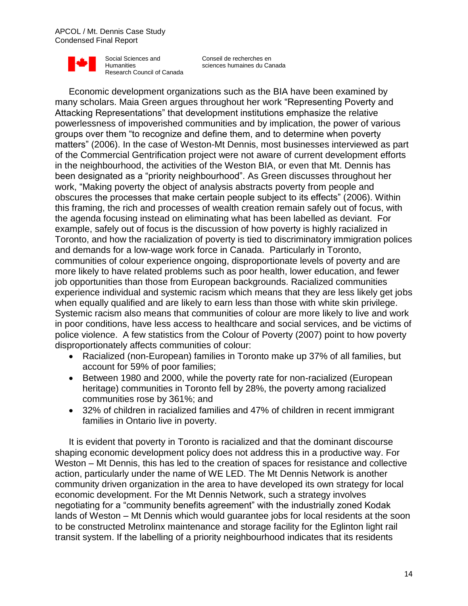Conseil de recherches en sciences humaines du Canada

Economic development organizations such as the BIA have been examined by many scholars. Maia Green argues throughout her work "Representing Poverty and Attacking Representations" that development institutions emphasize the relative powerlessness of impoverished communities and by implication, the power of various groups over them "to recognize and define them, and to determine when poverty matters" (2006). In the case of Weston-Mt Dennis, most businesses interviewed as part of the Commercial Gentrification project were not aware of current development efforts in the neighbourhood, the activities of the Weston BIA, or even that Mt. Dennis has been designated as a "priority neighbourhood". As Green discusses throughout her work, "Making poverty the object of analysis abstracts poverty from people and obscures the processes that make certain people subject to its effects" (2006). Within this framing, the rich and processes of wealth creation remain safely out of focus, with the agenda focusing instead on eliminating what has been labelled as deviant. For example, safely out of focus is the discussion of how poverty is highly racialized in Toronto, and how the racialization of poverty is tied to discriminatory immigration polices and demands for a low-wage work force in Canada. Particularly in Toronto, communities of colour experience ongoing, disproportionate levels of poverty and are more likely to have related problems such as poor health, lower education, and fewer job opportunities than those from European backgrounds. Racialized communities experience individual and systemic racism which means that they are less likely get jobs when equally qualified and are likely to earn less than those with white skin privilege. Systemic racism also means that communities of colour are more likely to live and work in poor conditions, have less access to healthcare and social services, and be victims of police violence. A few statistics from the Colour of Poverty (2007) point to how poverty disproportionately affects communities of colour:

- Racialized (non-European) families in Toronto make up 37% of all families, but account for 59% of poor families;
- Between 1980 and 2000, while the poverty rate for non-racialized (European heritage) communities in Toronto fell by 28%, the poverty among racialized communities rose by 361%; and
- 32% of children in racialized families and 47% of children in recent immigrant families in Ontario live in poverty.

It is evident that poverty in Toronto is racialized and that the dominant discourse shaping economic development policy does not address this in a productive way. For Weston – Mt Dennis, this has led to the creation of spaces for resistance and collective action, particularly under the name of WE LED. The Mt Dennis Network is another community driven organization in the area to have developed its own strategy for local economic development. For the Mt Dennis Network, such a strategy involves negotiating for a "community benefits agreement" with the industrially zoned Kodak lands of Weston – Mt Dennis which would guarantee jobs for local residents at the soon to be constructed Metrolinx maintenance and storage facility for the Eglinton light rail transit system. If the labelling of a priority neighbourhood indicates that its residents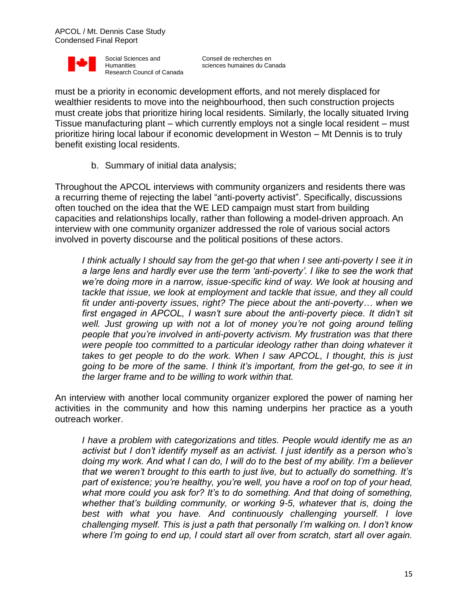

Conseil de recherches en sciences humaines du Canada

must be a priority in economic development efforts, and not merely displaced for wealthier residents to move into the neighbourhood, then such construction projects must create jobs that prioritize hiring local residents. Similarly, the locally situated Irving Tissue manufacturing plant – which currently employs not a single local resident – must prioritize hiring local labour if economic development in Weston – Mt Dennis is to truly benefit existing local residents.

b. Summary of initial data analysis;

Throughout the APCOL interviews with community organizers and residents there was a recurring theme of rejecting the label "anti-poverty activist". Specifically, discussions often touched on the idea that the WE LED campaign must start from building capacities and relationships locally, rather than following a model-driven approach. An interview with one community organizer addressed the role of various social actors involved in poverty discourse and the political positions of these actors.

*I think actually I should say from the get-go that when I see anti-poverty I see it in a large lens and hardly ever use the term 'anti-poverty'. I like to see the work that we're doing more in a narrow, issue-specific kind of way. We look at housing and tackle that issue, we look at employment and tackle that issue, and they all could fit under anti-poverty issues, right? The piece about the anti-poverty… when we*  first engaged in APCOL, I wasn't sure about the anti-poverty piece. It didn't sit well. Just growing up with not a lot of money you're not going around telling *people that you're involved in anti-poverty activism. My frustration was that there were people too committed to a particular ideology rather than doing whatever it takes to get people to do the work. When I saw APCOL, I thought, this is just going to be more of the same. I think it's important, from the get-go, to see it in the larger frame and to be willing to work within that.*

An interview with another local community organizer explored the power of naming her activities in the community and how this naming underpins her practice as a youth outreach worker.

*I have a problem with categorizations and titles. People would identify me as an activist but I don't identify myself as an activist. I just identify as a person who's doing my work. And what I can do, I will do to the best of my ability. I'm a believer that we weren't brought to this earth to just live, but to actually do something. It's part of existence; you're healthy, you're well, you have a roof on top of your head, what more could you ask for? It's to do something. And that doing of something, whether that's building community, or working 9-5, whatever that is, doing the best with what you have. And continuously challenging yourself. I love challenging myself. This is just a path that personally I'm walking on. I don't know where I'm going to end up, I could start all over from scratch, start all over again.*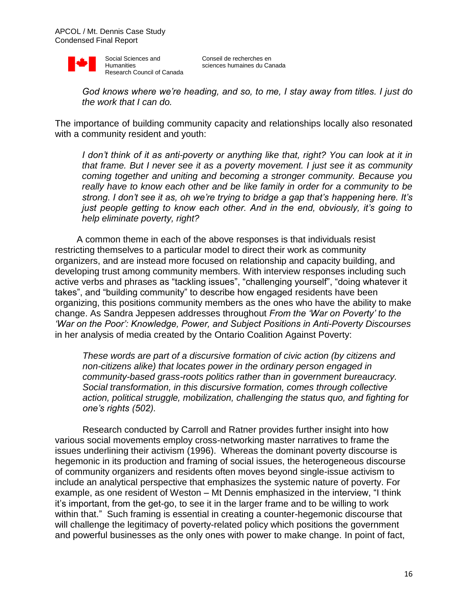

*God knows where we're heading, and so, to me, I stay away from titles. I just do the work that I can do.*

The importance of building community capacity and relationships locally also resonated with a community resident and youth:

*I don't think of it as anti-poverty or anything like that, right? You can look at it in that frame. But I never see it as a poverty movement. I just see it as community coming together and uniting and becoming a stronger community. Because you really have to know each other and be like family in order for a community to be strong. I don't see it as, oh we're trying to bridge a gap that's happening here. It's just people getting to know each other. And in the end, obviously, it's going to help eliminate poverty, right?*

A common theme in each of the above responses is that individuals resist restricting themselves to a particular model to direct their work as community organizers, and are instead more focused on relationship and capacity building, and developing trust among community members. With interview responses including such active verbs and phrases as "tackling issues", "challenging yourself", "doing whatever it takes", and "building community" to describe how engaged residents have been organizing, this positions community members as the ones who have the ability to make change. As Sandra Jeppesen addresses throughout *From the 'War on Poverty' to the 'War on the Poor': Knowledge, Power, and Subject Positions in Anti-Poverty Discourses* in her analysis of media created by the Ontario Coalition Against Poverty:

*These words are part of a discursive formation of civic action (by citizens and non-citizens alike) that locates power in the ordinary person engaged in community-based grass-roots politics rather than in government bureaucracy. Social transformation, in this discursive formation, comes through collective action, political struggle, mobilization, challenging the status quo, and fighting for one's rights (502).*

Research conducted by Carroll and Ratner provides further insight into how various social movements employ cross-networking master narratives to frame the issues underlining their activism (1996). Whereas the dominant poverty discourse is hegemonic in its production and framing of social issues, the heterogeneous discourse of community organizers and residents often moves beyond single-issue activism to include an analytical perspective that emphasizes the systemic nature of poverty. For example, as one resident of Weston – Mt Dennis emphasized in the interview, "I think it's important, from the get-go, to see it in the larger frame and to be willing to work within that." Such framing is essential in creating a counter-hegemonic discourse that will challenge the legitimacy of poverty-related policy which positions the government and powerful businesses as the only ones with power to make change. In point of fact,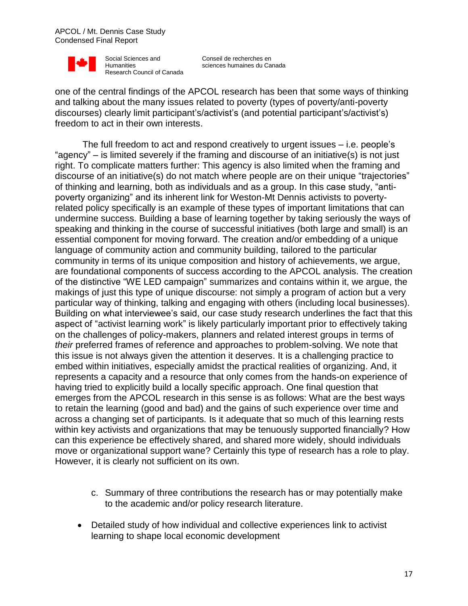

Conseil de recherches en sciences humaines du Canada

one of the central findings of the APCOL research has been that some ways of thinking and talking about the many issues related to poverty (types of poverty/anti-poverty discourses) clearly limit participant's/activist's (and potential participant's/activist's) freedom to act in their own interests.

The full freedom to act and respond creatively to urgent issues – i.e. people's "agency" – is limited severely if the framing and discourse of an initiative(s) is not just right. To complicate matters further: This agency is also limited when the framing and discourse of an initiative(s) do not match where people are on their unique "trajectories" of thinking and learning, both as individuals and as a group. In this case study, "antipoverty organizing" and its inherent link for Weston-Mt Dennis activists to povertyrelated policy specifically is an example of these types of important limitations that can undermine success. Building a base of learning together by taking seriously the ways of speaking and thinking in the course of successful initiatives (both large and small) is an essential component for moving forward. The creation and/or embedding of a unique language of community action and community building, tailored to the particular community in terms of its unique composition and history of achievements, we argue, are foundational components of success according to the APCOL analysis. The creation of the distinctive "WE LED campaign" summarizes and contains within it, we argue, the makings of just this type of unique discourse: not simply a program of action but a very particular way of thinking, talking and engaging with others (including local businesses). Building on what interviewee's said, our case study research underlines the fact that this aspect of "activist learning work" is likely particularly important prior to effectively taking on the challenges of policy-makers, planners and related interest groups in terms of *their* preferred frames of reference and approaches to problem-solving. We note that this issue is not always given the attention it deserves. It is a challenging practice to embed within initiatives, especially amidst the practical realities of organizing. And, it represents a capacity and a resource that only comes from the hands-on experience of having tried to explicitly build a locally specific approach. One final question that emerges from the APCOL research in this sense is as follows: What are the best ways to retain the learning (good and bad) and the gains of such experience over time and across a changing set of participants. Is it adequate that so much of this learning rests within key activists and organizations that may be tenuously supported financially? How can this experience be effectively shared, and shared more widely, should individuals move or organizational support wane? Certainly this type of research has a role to play. However, it is clearly not sufficient on its own.

- c. Summary of three contributions the research has or may potentially make to the academic and/or policy research literature.
- Detailed study of how individual and collective experiences link to activist learning to shape local economic development